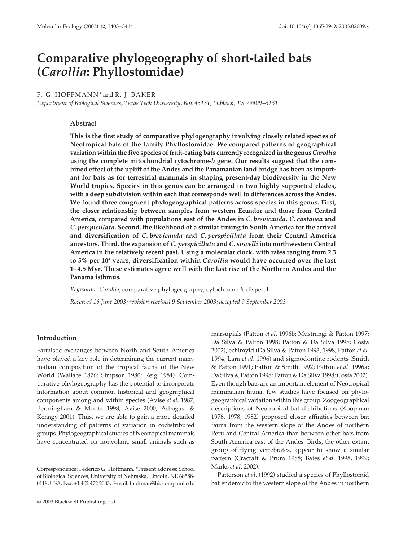# **Comparative phylogeography of short-tailed bats (***Carollia***: Phyllostomidae)**

#### F. G. HOFFMANN\* and R. J. BAKER

*Department of Biological Sciences, Texas Tech University, Box 43131, Lubbock, TX 79409–3131*

## **Abstract**

**This is the first study of comparative phylogeography involving closely related species of Neotropical bats of the family Phyllostomidae. We compared patterns of geographical variation within the five species of fruit-eating bats currently recognized in the genus** *Carollia* **using the complete mitochondrial cytochrome***-b* **gene. Our results suggest that the combined effect of the uplift of the Andes and the Panamanian land bridge has been as important for bats as for terrestrial mammals in shaping present-day biodiversity in the New World tropics. Species in this genus can be arranged in two highly supported clades, with a deep subdivision within each that corresponds well to differences across the Andes. We found three congruent phylogeographical patterns across species in this genus. First, the closer relationship between samples from western Ecuador and those from Central America, compared with populations east of the Andes in** *C. brevicauda***,** *C. castanea* **and** *C. perspicillata***. Second, the likelihood of a similar timing in South America for the arrival and diversification of** *C. brevicauda* **and** *C. perspicillata* **from their Central America ancestors. Third, the expansion of** *C. perspicillata* **and** *C. sowelli* **into northwestern Central America in the relatively recent past. Using a molecular clock, with rates ranging from 2.3 to 5% per 106 years, diversification within** *Carollia* **would have occurred over the last 1–4.5 Myr. These estimates agree well with the last rise of the Northern Andes and the Panama isthmus.**

*Keywords*: *Carollia*, comparative phylogeography, cytochrome-*b*, disperal *Received 16 June 2003; revision received 9 September 2003; accepted 9 September 2003*

#### **Introduction**

Faunistic exchanges between North and South America have played a key role in determining the current mammalian composition of the tropical fauna of the New World (Wallace 1876; Simpson 1980; Reig 1984). Comparative phylogeography has the potential to incorporate information about common historical and geographical components among and within species (Avise *et al*. 1987; Bermingham & Moritz 1998; Avise 2000; Arbogast & Kenagy 2001). Thus, we are able to gain a more detailed understanding of patterns of variation in codistributed groups. Phylogeographical studies of Neotropical mammals have concentrated on nonvolant, small animals such as

marsupials (Patton *et al*. 1996b; Mustrangi & Patton 1997; Da Silva & Patton 1998; Patton & Da Silva 1998; Costa 2002), echimyid (Da Silva & Patton 1993, 1998; Patton *et al*. 1994; Lara *et al*. 1996) and sigmodontine rodents (Smith & Patton 1991; Patton & Smith 1992; Patton *et al*. 1996a; Da Silva & Patton 1998; Patton & Da Silva 1998; Costa 2002). Even though bats are an important element of Neotropical mammalian fauna, few studies have focused on phylogeographical variation within this group. Zoogeographical descriptions of Neotropical bat distributions (Koopman 1976, 1978, 1982) proposed closer affinities between bat fauna from the western slope of the Andes of northern Peru and Central America than between other bats from South America east of the Andes. Birds, the other extant group of flying vertebrates, appear to show a similar pattern (Cracraft & Prum 1988; Bates *et al*. 1998, 1999; Marks *et al*. 2002).

Patterson *et al*. (1992) studied a species of Phyllostomid bat endemic to the western slope of the Andes in northern

Correspondence: Federico G. Hoffmann. \*Present address: School of Biological Sciences, University of Nebraska, Lincoln, NE 68588- 0118, USA. Fax: +1 402 472 2083; E-mail: fhoffman@biocomp.unl.edu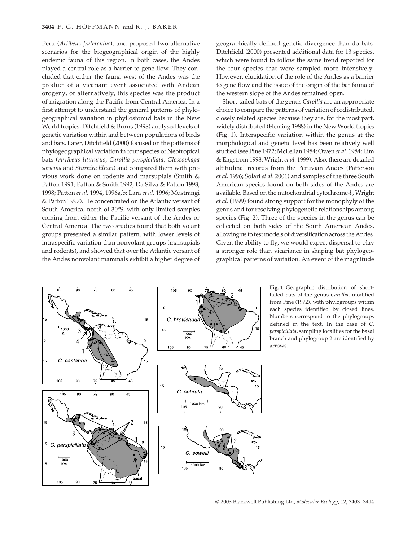Peru (*Artibeus fraterculus*), and proposed two alternative scenarios for the biogeographical origin of the highly endemic fauna of this region. In both cases, the Andes played a central role as a barrier to gene flow. They concluded that either the fauna west of the Andes was the product of a vicariant event associated with Andean orogeny, or alternatively, this species was the product of migration along the Pacific from Central America. In a first attempt to understand the general patterns of phylogeographical variation in phyllostomid bats in the New World tropics, Ditchfield & Burns (1998) analysed levels of genetic variation within and between populations of birds and bats. Later, Ditchfield (2000) focused on the patterns of phylogeographical variation in four species of Neotropical bats (*Artibeus lituratus*, *Carollia perspicillata*, *Glossophaga soricina* and *Sturnira lilium*) and compared them with previous work done on rodents and marsupials (Smith & Patton 1991; Patton & Smith 1992; Da Silva & Patton 1993, 1998; Patton *et al*. 1994, 1996a,b; Lara *et al*. 1996; Mustrangi & Patton 1997). He concentrated on the Atlantic versant of South America, north of 30°S, with only limited samples coming from either the Pacific versant of the Andes or Central America. The two studies found that both volant groups presented a similar pattern, with lower levels of intraspecific variation than nonvolant groups (marsupials and rodents), and showed that over the Atlantic versant of the Andes nonvolant mammals exhibit a higher degree of geographically defined genetic divergence than do bats. Ditchfield (2000) presented additional data for 13 species, which were found to follow the same trend reported for the four species that were sampled more intensively. However, elucidation of the role of the Andes as a barrier to gene flow and the issue of the origin of the bat fauna of the western slope of the Andes remained open.

Short-tailed bats of the genus *Carollia* are an appropriate choice to compare the patterns of variation of codistributed, closely related species because they are, for the most part, widely distributed (Fleming 1988) in the New World tropics (Fig. 1). Interspecific variation within the genus at the morphological and genetic level has been relatively well studied (see Pine 1972; McLellan 1984; Owen *et al*. 1984; Lim & Engstrom 1998; Wright *et al*. 1999). Also, there are detailed altitudinal records from the Peruvian Andes (Patterson *et al*. 1996; Solari *et al*. 2001) and samples of the three South American species found on both sides of the Andes are available. Based on the mitochondrial cytochrome-*b*, Wright *et al*. (1999) found strong support for the monophyly of the genus and for resolving phylogenetic relationships among species (Fig. 2). Three of the species in the genus can be collected on both sides of the South American Andes, allowing us to test models of diversification across the Andes. Given the ability to fly, we would expect dispersal to play a stronger role than vicariance in shaping bat phylogeographical patterns of variation. An event of the magnitude



**Fig. 1** Geographic distribution of shorttailed bats of the genus *Carollia*, modified from Pine (1972), with phylogroups within each species identified by closed lines. Numbers correspond to the phylogroups defined in the text. In the case of *C. perspicillata*, sampling localities for the basal branch and phylogroup 2 are identified by arrows.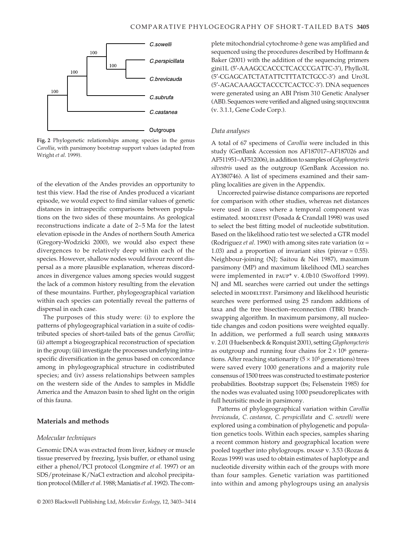

**Fig. 2** Phylogenetic relationships among species in the genus *Carollia*, with parsimony bootstrap support values (adapted from Wright *et al*. 1999).

of the elevation of the Andes provides an opportunity to test this view. Had the rise of Andes produced a vicariant episode, we would expect to find similar values of genetic distances in intraspecific comparisons between populations on the two sides of these mountains. As geological reconstructions indicate a date of 2–5 Ma for the latest elevation episode in the Andes of northern South America (Gregory-Wodzicki 2000), we would also expect these divergences to be relatively deep within each of the species. However, shallow nodes would favour recent dispersal as a more plausible explanation, whereas discordances in divergence values among species would suggest the lack of a common history resulting from the elevation of these mountains. Further, phylogeographical variation within each species can potentially reveal the patterns of dispersal in each case.

The purposes of this study were: (i) to explore the patterns of phylogeographical variation in a suite of codistributed species of short-tailed bats of the genus *Carollia*; (ii) attempt a biogeographical reconstruction of speciation in the group; (iii) investigate the processes underlying intraspecific diversification in the genus based on concordance among in phylogeographical structure in codistributed species; and (iv) assess relationships between samples on the western side of the Andes to samples in Middle America and the Amazon basin to shed light on the origin of this fauna.

# **Materials and methods**

#### *Molecular techniques*

Genomic DNA was extracted from liver, kidney or muscle tissue preserved by freezing, lysis buffer, or ethanol using either a phenol/PCI protocol (Longmire *et al*. 1997) or an SDS/proteinase K/NaCl extraction and alcohol precipitation protocol (Miller *et al*. 1988; Maniatis *et al*. 1992). The complete mitochondrial cytochrome*-b* gene was amplified and sequenced using the procedures described by Hoffmann & Baker (2001) with the addition of the sequencing primers gini1L (5′-AAAGCCACCCTCACCCGATTC-3′), Phyllo3L (5′-CGAGCATCTATATTCTTTATCTGCC-3′) and Uro3L (5′-AGACAAAGCTACCCTCACTCC-3′). DNA sequences were generated using an ABI Prism 310 Genetic Analyser (ABI). Sequences were verified and aligned using sequencher (v. 3.1.1, Gene Code Corp.).

#### *Data analyses*

A total of 67 specimens of *Carollia* were included in this study (GenBank Accession nos AF187017–AF187026 and AF511951–AF512006), in addition to samples of *Glyphonycteris silvestris* used as the outgroup (GenBank Accession no. AY380746). A list of specimens examined and their sampling localities are given in the Appendix.

Uncorrected pairwise distance comparisons are reported for comparison with other studies, whereas net distances were used in cases where a temporal component was estimated. MODELTEST (Posada & Crandall 1998) was used to select the best fitting model of nucleotide substitution. Based on the likelihood ratio test we selected a GTR model (Rodriguez *et al.* 1990) with among sites rate variation ( $\alpha$  = 1.03) and a proportion of invariant sites (pinvar = 0.55). Neighbour-joining (NJ; Saitou & Nei 1987), maximum parsimony (MP) and maximum likelihood (ML) searches were implemented in paup\* v. 4.0b10 (Swofford 1999). NJ and ML searches were carried out under the settings selected in MODELTEST. Parsimony and likelihood heuristic searches were performed using 25 random additions of taxa and the tree bisection–reconnection (TBR) branchswapping algorithm. In maximum parsimony, all nucleotide changes and codon positions were weighted equally. In addition, we performed a full search using MRBAYES v. 2.01 (Huelsenbeck & Ronquist 2001), setting *Glyphonycteris* as outgroup and running four chains for  $2 \times 10^6$  generations. After reaching stationarity  $(5 \times 10^5$  generations) trees were saved every 1000 generations and a majority rule consensus of 1500 trees was constructed to estimate posterior probabilities. Bootstrap support (bs; Felsenstein 1985) for the nodes was evaluated using 1000 pseudoreplicates with full heurisitic mode in parsimony.

Patterns of phylogeographical variation within *Carollia brevicauda*, *C. castanea*, *C. perspicillata* and *C. sowelli* were explored using a combination of phylogenetic and population genetics tools. Within each species, samples sharing a recent common history and geographical location were pooled together into phylogroups. DNASP v. 3.53 (Rozas  $\&$ Rozas 1999) was used to obtain estimates of haplotype and nucleotide diversity within each of the groups with more than four samples. Genetic variation was partitioned into within and among phylogroups using an analysis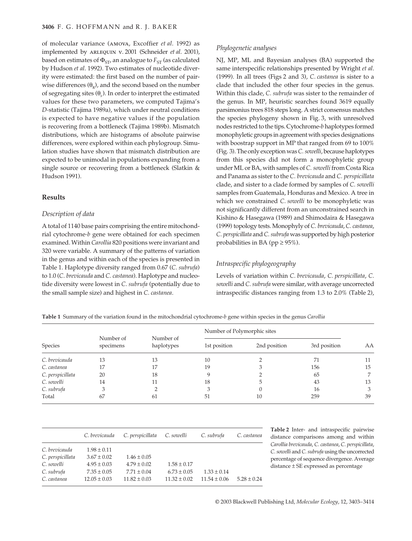of molecular variance (amova, Excoffier *et al*. 1992) as implemented by arlequin v. 2001 (Schneider *et al*. 2001), based on estimates of  $\Phi_{ST}$ , an analogue to  $F_{ST}$  (as calculated by Hudson *et al*. 1992). Two estimates of nucleotide diverity were estimated: the first based on the number of pairwise differences  $(\theta_{\pi})$ , and the second based on the number of segregating sites (θ*s*). In order to interpret the estimated values for these two parameters, we computed Tajima's *D-*statistic (Tajima 1989a), which under neutral conditions is expected to have negative values if the population is recovering from a bottleneck (Tajima 1989b). Mismatch distributions, which are histograms of absolute pairwise differences, were explored within each phylogroup. Simulation studies have shown that mismatch distribution are expected to be unimodal in populations expanding from a single source or recovering from a bottleneck (Slatkin & Hudson 1991).

# **Results**

## *Description of data*

A total of 1140 base pairs comprising the entire mitochondrial cytochrome*-b* gene were obtained for each specimen examined. Within *Carollia* 820 positions were invariant and 320 were variable. A summary of the patterns of variation in the genus and within each of the species is presented in Table 1. Haplotype diversity ranged from 0.67 (*C. subrufa*) to 1.0 (*C. brevicauda* and *C. castanea*). Haplotype and nucleotide diversity were lowest in *C. subrufa* (potentially due to the small sample size) and highest in *C. castanea*.

# *Phylogenetic analyses*

NJ, MP, ML and Bayesian analyses (BA) supported the same interspecific relationships presented by Wright *et al*. (1999). In all trees (Figs 2 and 3), *C. castanea* is sister to a clade that included the other four species in the genus. Within this clade, *C. subrufa* was sister to the remainder of the genus. In MP, heuristic searches found 3619 equally parsimonius trees 818 steps long. A strict consensus matches the species phylogeny shown in Fig. 3, with unresolved nodes restricted to the tips. Cytochrome-*b* haplotypes formed monophyletic groups in agreement with species designations with boostrap support in MP that ranged from 69 to 100% (Fig. 3). The only exception was *C. sowelli*, because haplotypes from this species did not form a monophyletic group under ML or BA, with samples of *C. sowelli* from Costa Rica and Panama as sister to the *C. brevicauda* and *C. perspicillata* clade, and sister to a clade formed by samples of *C. sowelli* samples from Guatemala, Honduras and Mexico. A tree in which we constrained *C. sowelli* to be monophyletic was not significantly different from an unconstrained search in Kishino & Hasegawa (1989) and Shimodaira & Hasegawa (1999) topology tests. Monophyly of *C. brevicauda*, *C. castanea*, *C. perspicillata* and *C. subrufa* was supported by high posterior probabilities in BA ( $pp \geq 95\%$ ).

# *Intraspecific phylogeography*

Levels of variation within *C. brevicauda*, *C. perspicillata*, *C. sowelli* and *C. subrufa* were similar, with average uncorrected intraspecific distances ranging from 1.3 to 2.0% (Table 2),

**Table 1** Summary of the variation found in the mitochondrial cytochrome-*b* gene within species in the genus *Carollia*

|                  | Number of<br>specimens | Number of<br>haplotypes | Number of Polymorphic sites |              |              |    |
|------------------|------------------------|-------------------------|-----------------------------|--------------|--------------|----|
| Species          |                        |                         | 1st position                | 2nd position | 3rd position | AA |
| C. brevicauda    | 13                     | 13                      | 10                          |              | 71           |    |
| C. castanea      |                        | 17                      | 19                          |              | 156          | 15 |
| C. perspicillata | 20                     | 18                      |                             |              | 65           |    |
| C. sowelli       | 14                     | 11                      | 18                          |              | 43           | 13 |
| C. subrufa       | З                      |                         |                             |              | 16           |    |
| Total            | 67                     | 61                      | 51                          | 10           | 259          | 39 |

|                  | C. brevicauda    | C. perspicillata | C. sowelli       | C. subrufa       | C. castanea     |
|------------------|------------------|------------------|------------------|------------------|-----------------|
| C. brevicauda    | $1.98 \pm 0.11$  |                  |                  |                  |                 |
| C. perspicillata | $3.67 \pm 0.02$  | $1.46 \pm 0.05$  |                  |                  |                 |
| C. sowelli       | $4.95 \pm 0.03$  | $4.79 \pm 0.02$  | $1.58 \pm 0.17$  |                  |                 |
| C. subrufa       | $7.35 \pm 0.05$  | $7.71 \pm 0.04$  | $6.73 \pm 0.05$  | $1.33 \pm 0.14$  |                 |
| C. castanea      | $12.05 \pm 0.03$ | $11.82 \pm 0.03$ | $11.32 \pm 0.02$ | $11.54 \pm 0.06$ | $5.28 \pm 0.24$ |

**Table 2** Inter- and intraspecific pairwise distance comparisons among and within *Carollia brevicauda*, *C. castanea*, *C. perspicillata*, *C. sowelli* and *C. subrufa* using the uncorrected percentage of sequence divergence. Average distance ± SE expressed as percentage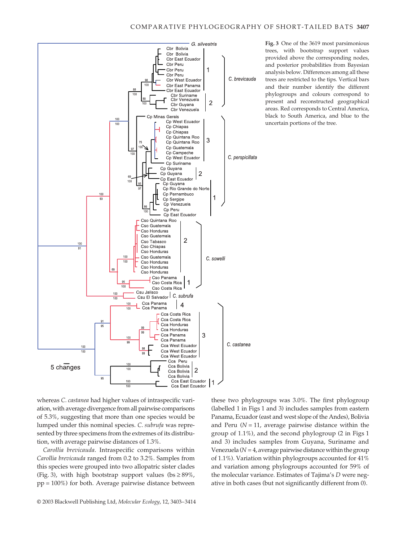

**Fig. 3** One of the 3619 most parsimonious trees, with bootstrap support values provided above the corresponding nodes, and posterior probabilities from Bayesian analysis below. Differences among all these trees are restricted to the tips. Vertical bars and their number identify the different phylogroups and colours correspond to present and reconstructed geographical areas. Red corresponds to Central America, black to South America, and blue to the uncertain portions of the tree.

whereas *C. castanea* had higher values of intraspecific variation, with average divergence from all pairwise comparisons of 5.3%, suggesting that more than one species would be lumped under this nominal species. *C. subrufa* was represented by three specimens from the extremes of its distribution, with average pairwise distances of 1.3%.

*Carollia brevicauda*. Intraspecific comparisons within *Carollia brevicauda* ranged from 0.2 to 3.2%. Samples from this species were grouped into two allopatric sister clades (Fig. 3), with high bootstrap support values (bs  $\geq$  89%, pp = 100%) for both. Average pairwise distance between these two phylogroups was 3.0%. The first phylogroup (labelled 1 in Figs 1 and 3) includes samples from eastern Panama, Ecuador (east and west slope of the Andes), Bolivia and Peru  $(N = 11)$ , average pairwise distance within the group of 1.1%), and the second phylogroup (2 in Figs 1 and 3) includes samples from Guyana, Suriname and Venezuela ( $N = 4$ , average pairwise distance within the group of 1.1%). Variation within phylogroups accounted for 41% and variation among phylogroups accounted for 59% of the molecular variance. Estimates of Tajima's *D* were negative in both cases (but not significantly different from 0).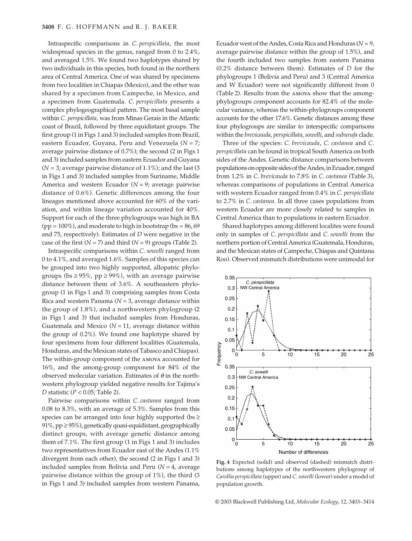Intraspecific comparisons in *C. perspicillata*, the most widespread species in the genus, ranged from 0 to 2.4%, and averaged 1.5%. We found two haplotypes shared by two individuals in this species, both found in the northern area of Central America. One of was shared by specimens from two localities in Chiapas (Mexico), and the other was shared by a specimen from Campeche, in Mexico, and a specimen from Guatemala. *C. perspicillata* presents a complex phylogeographical pattern. The most basal sample within *C. perspicillata*, was from Minas Gerais in the Atlantic coast of Brazil, followed by three equidistant groups. The first group (1 in Figs 1 and 3) included samples from Brazil, eastern Ecuador, Guyana, Peru and Venezuela (*N* = 7; average pairwise distance of 0.7%); the second (2 in Figs 1 and 3) included samples from eastern Ecuador and Guyana  $(N = 3)$ ; average pairwise distance of 1.1%); and the last (3) in Figs 1 and 3) included samples from Suriname, Middle America and western Ecuador  $(N = 9)$ ; average pairwise distance of 0.6%). Genetic differences among the four lineages mentioned above accounted for 60% of the variation, and within lineage variation accounted for 40%. Support for each of the three phylogroups was high in BA ( $pp = 100\%$ ), and moderate to high in bootstrap ( $bs = 86, 69$ and 75, respectively). Estimates of *D* were negative in the case of the first  $(N = 7)$  and third  $(N = 9)$  groups (Table 2).

Intraspecific comparisons within *C. sowelli* ranged from 0 to 4.1%, and averaged 1.6%. Samples of this species can be grouped into two highly supported, allopatric phylogroups (bs  $\geq$  95%, pp  $\geq$  99%), with an average pairwise distance between them of 3.6%. A southeastern phylogroup (1 in Figs 1 and 3) comprising samples from Costa Rica and western Panama  $(N = 3)$ , average distance within the group of 1.8%), and a northwestern phylogroup (2 in Figs 1 and 3) that included samples from Honduras, Guatemala and Mexico  $(N = 11)$ , average distance within the group of 0.2%). We found one haplotype shared by four specimens from four different localities (Guatemala, Honduras, and the Mexican states of Tabasco and Chiapas). The within-group component of the amova accounted for 16%, and the among-group component for 84% of the observed molecular variation. Estimates of  $\theta$  in the northwestern phylogroup yielded negative results for Tajima's *D* statistic (*P* < 0.05; Table 2).

Pairwise comparisons within *C. castanea* ranged from 0.08 to 8.3%, with an average of 5.3%. Samples from this species can be arranged into four highly supported ( $bs \ge$ 91%,  $pp \ge 95%$ , genetically quasi-equidistant, geographically distinct groups, with average genetic distance among them of 7.1%. The first group (1 in Figs 1 and 3) includes two representatives from Ecuador east of the Andes (1.1% divergent from each other), the second (2 in Figs 1 and 3) included samples from Bolivia and Peru (*N* = 4, average pairwise distance within the group of 1%), the third (3 in Figs 1 and 3) included samples from western Panama,

Ecuador west of the Andes, Costa Rica and Honduras (*N* = 9, average pairwise distance within the group of 1.5%), and the fourth included two samples from eastern Panama (0.2% distance between them). Estimates of *D* for the phylogroups 1 (Bolivia and Peru) and 3 (Central America and W Ecuador) were not significantly different from 0 (Table 2). Results from the amova show that the amongphylogroups component accounts for 82.4% of the molecular variance, whereas the within-phylogroups component accounts for the other 17.6%. Genetic distances among these four phylogroups are similar to interspecific comparisons within the *brevicauda*, *perspicillata*, *sowelli*, and *suburufa* clade.

Three of the species: *C. brevicauda*, *C. castanea* and *C. perspicillata* can be found in tropical South America on both sides of the Andes. Genetic distance comparisons between populations on opposite sides of the Andes, in Ecuador, ranged from 1.2% in *C. brevicauda* to 7.8% in *C. castanea* (Table 3), whereas comparisons of populations in Central America with western Ecuador ranged from 0.4% in *C. perspicillata* to 2.7% in *C. castanea*. In all three cases populations from western Ecuador are more closely related to samples in Central America than to populations in eastern Ecuador.

Shared haplotypes among different localites were found only in samples of *C. perspicillata* and *C. sowelli* from the northern portion of Central America (Guatemala, Honduras, and the Mexican states of Campeche, Chiapas and Quintana Roo). Observed mismatch distributions were unimodal for



**Fig. 4** Expected (solid) and observed (dashed) mismatch distributions among haplotypes of the northwestern phylogroup of *Carollia perspicillata* (upper) and *C. sowelli* (lower) under a model of population growth.

© 2003 Blackwell Publishing Ltd, *Molecular Ecology*, 12, 3403–3414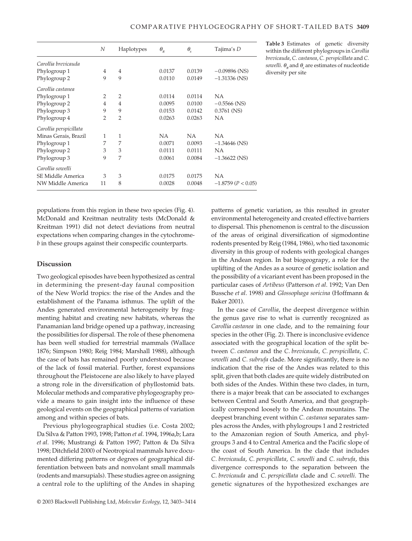|                        | N              | Haplotypes     | $\theta_{\pi}$ | $\theta_{s}$ | Tajima's D           |
|------------------------|----------------|----------------|----------------|--------------|----------------------|
| Carollia brevicauda    |                |                |                |              |                      |
| Phylogroup 1           | 4              | 4              | 0.0137         | 0.0139       | $-0.09896$ (NS)      |
| Phylogroup 2           | 9              | 9              | 0.0110         | 0.0149       | $-1.31336$ (NS)      |
| Carollia castanea      |                |                |                |              |                      |
| Phylogroup 1           | 2              | $\overline{2}$ | 0.0114         | 0.0114       | NA                   |
| Phylogroup 2           | 4              | 4              | 0.0095         | 0.0100       | $-0.5566$ (NS)       |
| Phylogroup 3           | 9              | 9              | 0.0153         | 0.0142       | $0.3761$ (NS)        |
| Phylogroup 4           | $\overline{2}$ | $\overline{2}$ | 0.0263         | 0.0263       | <b>NA</b>            |
| Carollia perspicillata |                |                |                |              |                      |
| Minas Gerais, Brazil   | 1              | 1              | <b>NA</b>      | <b>NA</b>    | NA                   |
| Phylogroup 1           | 7              | 7              | 0.0071         | 0.0093       | $-1.34646$ (NS)      |
| Phylogroup 2           | 3              | 3              | 0.0111         | 0.0111       | <b>NA</b>            |
| Phylogroup 3           | 9              | 7              | 0.0061         | 0.0084       | $-1.36622$ (NS)      |
| Carollia sowelli       |                |                |                |              |                      |
| SE Middle America      | 3              | 3              | 0.0175         | 0.0175       | <b>NA</b>            |
| NW Middle America      | 11             | 8              | 0.0028         | 0.0048       | $-1.8759 (P < 0.05)$ |

**Table 3** Estimates of genetic diversity within the different phylogroups in *Carollia brevicauda*, *C. castanea*, *C. perspicillata* and *C. sowelli*.  $\theta_{\pi}$  and  $\theta_{\rm s}$  are estimates of nucleotide diversity per site

populations from this region in these two species (Fig. 4). McDonald and Kreitman neutrality tests (McDonald & Kreitman 1991) did not detect deviations from neutral expectations when comparing changes in the cytochrome*b* in these groups against their conspecific counterparts.

## **Discussion**

Two geological episodes have been hypothesized as central in determining the present-day faunal composition of the New World tropics: the rise of the Andes and the establishment of the Panama isthmus. The uplift of the Andes generated environmental heterogeneity by fragmenting habitat and creating new habitats, whereas the Panamanian land bridge opened up a pathway, increasing the possibilities for dispersal. The role of these phenomena has been well studied for terrestrial mammals (Wallace 1876; Simpson 1980; Reig 1984; Marshall 1988), although the case of bats has remained poorly understood because of the lack of fossil material. Further, forest expansions throughout the Pleistocene are also likely to have played a strong role in the diversification of phyllostomid bats. Molecular methods and comparative phylogeography provide a means to gain insight into the influence of these geological events on the geographical patterns of variation among and within species of bats.

Previous phylogeographical studies (i.e. Costa 2002; Da Silva & Patton 1993, 1998; Patton *et al*. 1994, 1996a,b; Lara *et al*. 1996; Mustrangi & Patton 1997; Patton & Da Silva 1998; Ditchfield 2000) of Neotropical mammals have documented differing patterns or degrees of geographical differentiation between bats and nonvolant small mammals (rodents and marsupials). These studies agree on assigning a central role to the uplifting of the Andes in shaping

patterns of genetic variation, as this resulted in greater environmental heterogeneity and created effective barriers to dispersal. This phenomenon is central to the discussion of the areas of original diversification of sigmodontine rodents presented by Reig (1984, 1986), who tied taxonomic diversity in this group of rodents with geological changes in the Andean region. In bat biogeograpy, a role for the uplifting of the Andes as a source of genetic isolation and the possibility of a vicariant event has been proposed in the particular cases of *Artibeus* (Patterson *et al*. 1992; Van Den Bussche *et al*. 1998) and *Glossophaga soricina* (Hoffmann & Baker 2001).

In the case of *Carollia*, the deepest divergence within the genus gave rise to what is currently recognized as *Carollia castanea* in one clade, and to the remaining four species in the other (Fig. 2). There is inconclusive evidence associated with the geographical location of the split between *C. castanea* and the *C. brevicauda*, *C. perspicillata*, *C. sowelli* and *C. subrufa* clade. More significantly, there is no indication that the rise of the Andes was related to this split, given that both clades are quite widely distributed on both sides of the Andes. Within these two clades, in turn, there is a major break that can be associated to exchanges between Central and South America, and that geographically correspond loosely to the Andean mountains. The deepest branching event within *C. castanea* separates samples across the Andes, with phylogroups 1 and 2 restricted to the Amazonian region of South America, and phylgroups 3 and 4 to Central America and the Pacific slope of the coast of South America. In the clade that includes *C. brevicauda*, *C. perspicillata*, *C. sowelli* and *C. subrufa*, this divergence corresponds to the separation between the *C. brevicauda* and *C. perspicillata* clade and *C. sowelli*. The genetic signatures of the hypothesized exchanges are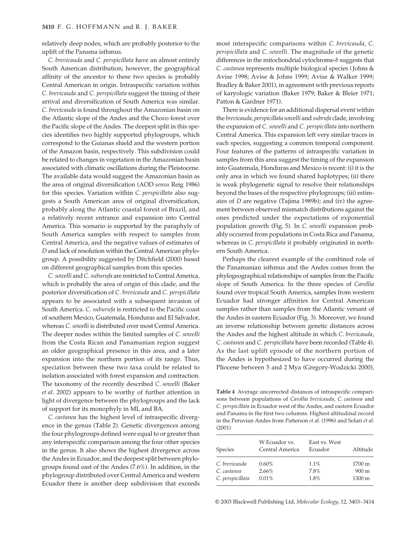relatively deep nodes, which are probably posterior to the uplift of the Panama isthmus.

*C. brevicauda* and *C. perspicillata* have an almost entirely South American distribution; however, the geographical affinity of the ancestor to these two species is probably Central American in origin. Intraspecific variation within *C. brevicauda* and *C. perspicillata* suggest the timing of their arrival and diversification of South America was similar. *C. brevicauda* is found throughout the Amazonian basin on the Atlantic slope of the Andes and the Choco forest over the Pacific slope of the Andes. The deepest split in this species identifies two highly supported phylogroups, which correspond to the Guianas shield and the western portion of the Amazon basin, respectively. This subdivision could be related to changes in vegetation in the Amazonian basin associated with climatic oscillations during the Pleistocene. The available data would suggest the Amazonian basin as the area of original diversification (AOD *sensu* Reig 1986) for this species. Variation within *C. perspicillata* also suggests a South American area of original diversification, probably along the Atlantic coastal forest of Brazil, and a relatively recent entrance and expansion into Central America. This scenario is supported by the paraphyly of South America samples with respect to samples from Central America, and the negative values of estimates of *D* and lack of resolution within the Central American phylogroup. A possibility suggested by Ditchfield (2000) based on different geographical samples from this species.

*C. sowelli* and *C. suburufa* are restricted to Central America, which is probably the area of origin of this clade, and the posterior diversification of *C. brevicauda* and *C. perspicillata* appears to be associated with a subsequent invasion of South America. *C. suburufa* is restricted to the Pacific coast of southern Mexico, Guatemala, Honduras and El Salvador, whereas *C. sowelli* is distributed over most Central America. The deeper nodes within the limited samples of *C. sowelli* from the Costa Rican and Panamanian region suggest an older geographical presence in this area, and a later expansion into the northern portion of its range. Thus, speciation between these two taxa could be related to isolation associated with forest expansion and contraction. The taxonomy of the recently described *C. sowelli* (Baker *et al*. 2002) appears to be worthy of further attention in light of divergence between the phylogroups and the lack of support for its monophyly in ML and BA.

*C. castanea* has the highest level of intraspecific divergence in the genus (Table 2). Genetic divergences among the four phylogroups defined were equal to or greater than any interspecific comparison among the four other species in the genus. It also shows the highest divergence across the Andes in Ecuador, and the deepest split between phylogroups found east of the Andes (7.6%). In addition, in the phylogroup distributed over Central America and western Ecuador there is another deep subdivision that exceeds most interspecific comparisons within *C. brevicauda*, *C. perspicillata* and *C. sowelli*. The magnitude of the genetic differences in the mitochondrial cytochrome-*b* suggests that *C. castanea* represents multiple biological species (Johns & Avise 1998; Avise & Johns 1999; Avise & Walker 1999; Bradley & Baker 2001), in agreement with previous reports of karyologic variation (Baker 1979; Baker & Bleier 1971; Patton & Gardner 1971).

There is evidence for an additional dispersal event within the *brevicauda*, *perspicillata sowelli* and *subrufa* clade, involving the expansion of *C. sowelli* and *C. perspicillata* into northern Central America. This expansion left very similar traces in each species, suggesting a common temporal component. Four features of the patterns of intraspecific variation in samples from this area suggest the timing of the expansion into Guatemala, Honduras and Mexico is recent: (i) it is the only area in which we found shared haplotypes; (ii) there is weak phylogenetic signal to resolve their relationships beyond the bases of the respective phylogroups; (iii) estimates of *D* are negative (Tajima 1989b); and (iv) the agreement between observed mismatch distributions against the ones predicted under the expectations of exponential population growth (Fig. 5). In *C. sowelli* expansion probably occurred from populations in Costa Rica and Panama, whereas in *C. perspicillata* it probably originated in northern South America.

Perhaps the clearest example of the combined role of the Panamanian isthmus and the Andes comes from the phylogeographical relationships of samples from the Pacific slope of South America. In the three species of *Carollia* found over tropical South America, samples from western Ecuador had stronger affinities for Central American samples rather than samples from the Atlantic versant of the Andes in eastern Ecuador (Fig. 3). Moreover, we found an inverse relationship between genetic distances across the Andes and the highest altitude in which *C. brevicauda*, *C. castanea* and *C. perspicillata* have been recorded (Table 4). As the last uplift episode of the northern portion of the Andes is hypothesized to have occurred during the Pliocene between 5 and 2 Mya (Gregory-Wodzicki 2000),

**Table 4** Average uncorrected distances of intraspecific comparisons between populations of *Carollia brevicauda*, *C. castanea* and *C. perspicillata* in Ecuador west of the Andes, and eastern Ecuador and Panama in the first two columns. Highest altitudinal record in the Peruvian Andes from Patterson *et al*. (1996) and Solari *et al*. (2001)

| <b>Species</b>   | W Ecuador vs.<br>Central America | East vs. West<br>Ecuador | Altitude        |
|------------------|----------------------------------|--------------------------|-----------------|
| C. brevicauda    | $0.60\%$                         | 1.1%                     | 1700 m          |
| C. castanea      | 2.66%                            | 7.8%                     | $900 \text{ m}$ |
| C. perspicillata | 0.01%                            | 1.8%                     | 1300 m          |

© 2003 Blackwell Publishing Ltd, *Molecular Ecology*, 12, 3403–3414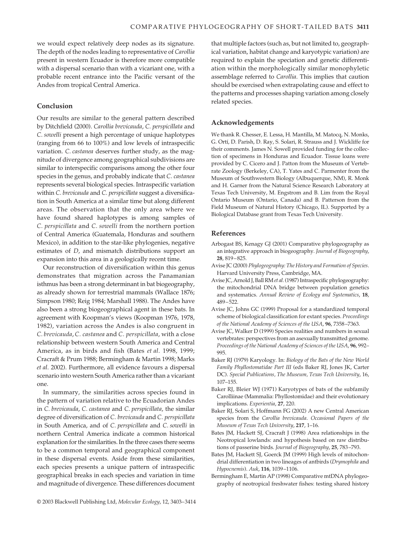we would expect relatively deep nodes as its signature. The depth of the nodes leading to representative of *Carollia* present in western Ecuador is therefore more compatible with a dispersal scenario than with a vicariant one, with a probable recent entrance into the Pacific versant of the Andes from tropical Central America.

## **Conclusion**

Our results are similar to the general pattern described by Ditchfield (2000). *Carollia brevicauda*, *C. perspicillata* and *C. sowelli* present a high percentage of unique haplotypes (ranging from 66 to 100%) and low levels of intraspecific variation. *C. castanea* deserves further study, as the magnitude of divergence among geographical subdivisions are similar to interspecific comparisons among the other four species in the genus, and probably indicate that *C. castanea* represents several biological species. Intraspecific variation within *C. brevicauda* and *C. perspicillata* suggest a diversification in South America at a similar time but along different areas. The observation that the only area where we have found shared haplotypes is among samples of *C. perspicillata* and *C. sowelli* from the northern portion of Central America (Guatemala, Honduras and southern Mexico), in addition to the star-like phylogenies, negative estimates of *D*, and mismatch distributions support an expansion into this area in a geologically recent time.

Our reconstruction of diversification within this genus demonstrates that migration across the Panamanian isthmus has been a strong determinant in bat biogeography, as already shown for terrestrial mammals (Wallace 1876; Simpson 1980; Reig 1984; Marshall 1988). The Andes have also been a strong biogeographical agent in these bats. In agreement with Koopman's views (Koopman 1976, 1978, 1982), variation across the Andes is also congruent in *C. brevicauda*, *C. castanea* and *C. perspicillata*, with a close relationship between western South America and Central America, as in birds and fish (Bates *et al*. 1998, 1999; Cracraft & Prum 1988; Bermingham & Martin 1998; Marks *et al*. 2002). Furthermore, all evidence favours a dispersal scenario into western South America rather than a vicariant one.

In summary, the similarities across species found in the pattern of variation relative to the Ecuadorian Andes in *C. brevicauda*, *C. castanea* and *C. perspicillata*, the similar degree of diversification of *C. brevicauda* and *C. perspicillata* in South America, and of *C. perspicillata* and *C. sowelli* in northern Central America indicate a common historical explanation for the similarities. In the three cases there seems to be a common temporal and geographical component in these dispersal events. Aside from these similarities, each species presents a unique pattern of intraspecific geographical breaks in each species and variation in time and magnitude of divergence. These differences document

© 2003 Blackwell Publishing Ltd, *Molecular Ecology*, 12, 3403–3414

that multiple factors (such as, but not limited to, geographical variation, habitat change and karyotypic variation) are required to explain the speciation and genetic differentiation within the morphologically similar monophyletic assemblage referred to *Carollia*. This implies that caution should be exercised when extrapolating cause and effect to the patterns and processes shaping variation among closely related species.

# **Acknowledgements**

We thank R. Chesser, E. Lessa, H. Mantilla, M. Matocq, N. Monks, G. Ortí, D. Parish, D. Ray, S. Solari, R. Strauss and J. Wickliffe for their comments. James N. Sowell provided funding for the collection of specimens in Honduras and Ecuador. Tissue loans were provided by C. Cicero and J. Patton from the Museum of Vertebrate Zoology (Berkeley, CA), T. Yates and C. Parmenter from the Museum of Southwestern Biology (Albuquerque, NM), R. Monk and H. Garner from the Natural Science Research Laboratory at Texas Tech University, M. Engstrom and B. Lim from the Royal Ontario Museum (Ontario, Canada) and B. Patterson from the Field Museum of Natural History (Chicago, IL). Supported by a Biological Database grant from Texas Tech University.

#### **References**

- Arbogast BS, Kenagy GJ (2001) Comparative phylogeography as an integrative approach in biogeography. *Journal of Biogeography*, **28**, 819–825.
- Avise JC (2000) *Phylogeography: The History and Formation of Species*. Harvard University Press, Cambridge, MA.
- Avise JC, Arnold J, Ball RM *et al.*(1987) Intraspecific phylogeography: the mitochondrial DNA bridge between population genetics and systematics. *Annual Review of Ecology and Systematics*, **18**, 489–522.
- Avise JC, Johns GC (1999) Proposal for a standardized temporal scheme of biological classification for extant species. *Proceedings of the National Academy of Sciences of the USA*, **96**, 7358–7363.
- Avise JC, Walker D (1999) Species realities and numbers in sexual vertebrates: perspectives from an asexually transmitted genome. *Proceedings of the National Academy of Sciences of the USA*, **96**, 992– 995.
- Baker RJ (1979) Karyology. In: *Biology of the Bats of the New World Family Phyllostomatidae Part III* (eds Baker RJ, Jones JK, Carter DC). *Special Publications, The Museum, Texas Tech University*, 16, 107–155.
- Baker RJ, Bleier WJ (1971) Karyotypes of bats of the subfamily Carolliinae (Mammalia: Phyllostomidae) and their evolutionary implications. *Experientia*, **27**, 220.
- Baker RJ, Solari S, Hoffmann FG (2002) A new Central American species from the *Carollia brevicauda*. *Occasional Papers of the Museum of Texas Tech University*, **217**, 1–16.
- Bates JM, Hackett SJ, Cracraft J (1998) Area relationships in the Neotropical lowlands: and hypothesis based on raw distributions of passerine birds. *Journal of Biogeography*, **25**, 783–793.
- Bates JM, Hackett SJ, Goerck JM (1999) High levels of mitochondrial differentiation in two lineages of antbirds (*Drymophila* and *Hypocnemis*). *Auk*, **116**, 1039–1106.
- Bermingham E, Martin AP (1998) Comparative mtDNA phylogeography of neotropical freshwater fishes: testing shared history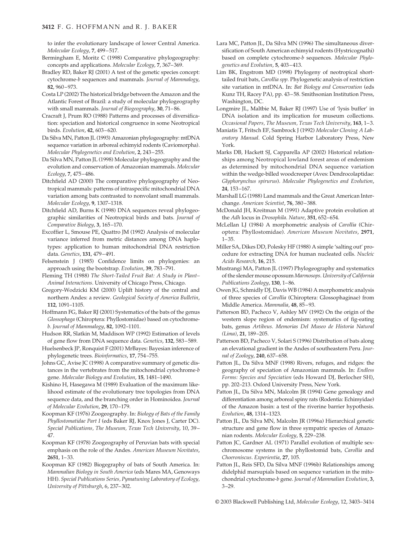#### 3412 F. G. HOFFMANN and R. J. BAKER

to infer the evolutionary landscape of lower Central America. *Molecular Ecology*, **7**, 499–517.

- Bermingham E, Moritz C (1998) Comparative phylogeography: concepts and applications. *Molecular Ecology*, **7**, 367–369.
- Bradley RD, Baker RJ (2001) A test of the genetic species concept: cytochrome*-b* sequences and mammals. *Journal of Mammalogy*, **82**, 960–973.
- Costa LP (2002) The historical bridge between the Amazon and the Atlantic Forest of Brazil: a study of molecular phylogeography with small mammals. *Journal of Biogeography*, **30**, 71–86.
- Cracraft J, Prum RO (1988) Patterns and processes of diversification: speciation and historical congruence in some Neotropical birds. *Evolution*, **42**, 603–620.
- Da Silva MN, Patton JL (1993) Amazonian phylogeography: mtDNA sequence variation in arboreal echimyid rodents (Caviomorpha). *Molecular Phylogenetics and Evolution*, **2**, 243–255.
- Da Silva MN, Patton JL (1998) Molecular phylogeography and the evolution and conservation of Amazonian mammals. *Molecular Ecology*, **7**, 475–486.
- Ditchfield AD (2000) The comparative phylogeography of Neotropical mammals: patterns of intraspecific mitochondrial DNA variation among bats contrasted to nonvolant small mammals. *Molecular Ecology*, **9**, 1307–1318.
- Ditchfield AD, Burns K (1998) DNA sequences reveal phylogeographic similarities of Neotropical birds and bats. *Journal of Comparative Biology*, **3**, 165–170.
- Excoffier L, Smouse PE, Quattro JM (1992) Analysis of molecular variance inferred from metric distances among DNA haplotypes: application to human mitochondrial DNA restriction data. *Genetics*, **131**, 479–491.
- Felsenstein J (1985) Confidence limits on phylogenies: an approach using the bootstrap. *Evolution*, **39**, 783–791.
- Fleming TH (1988) *The Short-Tailed Fruit Bat: A Study in Plant– Animal Interactions*. University of Chicago Press, Chicago.
- Gregory-Wodzicki KM (2000) Uplift history of the central and northern Andes: a review. *Geological Society of America Bulletin*, **112**, 1091–1105.
- Hoffmann FG, Baker RJ (2001) Systematics of the bats of the genus *Glossophaga* (Chiroptera: Phyllostomidae) based on cytochrome*b*. *Journal of Mammalogy*, **82**, 1092–1101.
- Hudson RR, Slatkin M, Maddison WP (1992) Estimation of levels of gene flow from DNA sequence data. *Genetics*, **132**, 583–589.
- Huelsenbeck JP, Ronquist F (2001) MrBayes: Bayesian inference of phylogenetic trees. *Bioinformatics*, **17**, 754–755.
- Johns GC, Avise JC (1998) A comparative summary of genetic distances in the vertebrates from the mitochondrial cytochrome*-b* gene. *Molecular Biology and Evolution*, **15**, 1481–1490.
- Kishino H, Hasegawa M (1989) Evaluation of the maximum likelihood estimate of the evolutionary tree topologies from DNA sequence data, and the branching order in Hominoidea. *Journal of Molecular Evolution*, **29**, 170–179.
- Koopman KF (1976) Zoogeography. In: *Biology of Bats of the Family Phyllostomatidae Part I* (eds Baker RJ, Knox Jones J, Carter DC). *Special Publications, The Museum, Texas Tech University*, 10, 39– 47.
- Koopman KF (1978) Zoogeography of Peruvian bats with special emphasis on the role of the Andes. *American Museum Novitates*, **2651**, 1–33.
- Koopman KF (1982) Biogegraphy of bats of South America. In: *Mammalian Biology in South America* (eds Mares MA, Genoways HH). *Special Publications Series, Pymatuning Laboratory of Ecology, University of Pittsburgh*, 6, 237–302.
- Lara MC, Patton JL, Da Silva MN (1996) The simultaneous diversification of South American echimyid rodents (Hystricognathi) based on complete cytochrome*-b* sequences. *Molecular Phylogenetics and Evolution*, **5**, 403–413.
- Lim BK, Engstrom MD (1998) Phylogeny of neotropical shorttailed fruit bats, *Carollia spp.* Phylogenetic analysis of restriction site variation in mtDNA. In: *Bat Biology and Conservation* (eds Kunz TH, Racey PA), pp. 43–58. Smithsonian Institution Press, Washington, DC.
- Longmire JL, Maltbie M, Baker RJ (1997) Use of 'lysis buffer' in DNA isolation and its implication for museum collections. *Occasional Papers, The Museum, Texas Tech University*, **163**, 1–3.
- Maniatis T, Fritsch EF, Sambrock J (1992) *Molecular Cloning A Laboratory Manual*. Cold Spring Harbor Laboratory Press, New York.
- Marks DB, Hackett SJ, Capparella AP (2002) Historical relationships among Neotropical lowland forest areas of endemism as determined by mitochondrial DNA sequence variation within the wedge-billed woodcreeper (Aves: Dendrocolaptidae: *Glyphorynchus spirurus*). *Molecular Phylogenetics and Evolution*, **24**, 153–167.
- Marshall LG (1988) Land mammals and the Great American Interchange. *American Scientist*, **76**, 380–388.
- McDonald JH, Kreitman M (1991) Adaptive protein evolution at the *Adh* locus in *Drosophila*. *Nature*, **351**, 652–654.
- McLellan LJ (1984) A morphometric analysis of *Carollia* (Chiroptera: Phyllostomidae). *American Museum Novitates*, **2971**, 1–35.
- Miller SA, Dikes DD, Polesky HF (1988) A simple 'salting out' procedure for extracting DNA for human nucleated cells. *Nucleic Acids Research*, **16**, 215.
- Mustrangi MA, Patton JL (1997) Phylogeography and systematics of the slender mouse opossum *Marmosops*. *University of California Publications Zoology*, **130**, 1–86.
- Owen JG, Schmidly DJ, Davis WB (1984) A morphometric analysis of three species of *Carollia* (Chiroptera: Glossophaginae) from Middle America. *Mammalia*, **48**, 85–93.
- Patterson BD, Pacheco V, Ashley MV (1992) On the origin of the western slope region of endemism: systematics of fig-eating bats, genus *Artibeus*. *Memorias Del Museo de Historia Natural (Lima)*, **21**, 189–205.
- Patterson BD, Pacheco V, Solari S (1996) Distribution of bats along an elevational gradient in the Andes of southeastern Peru. *Journal of Zoology*, **240**, 637–658.
- Patton JL, Da Silva MNF (1998) Rivers, refuges, and ridges: the geography of speciation of Amazonian mammals. In: *Endless Forms: Species and Speciation* (eds Howard DJ, Berlocher SH), pp. 202–213. Oxford University Press, New York.
- Patton JL, Da Silva MN, Malcolm JR (1994) Gene genealogy and differentiation among arboreal spiny rats (Rodentia: Echimyidae) of the Amazon basin: a test of the riverine barrier hypothesis. *Evolution*, **48**, 1314–1323.
- Patton JL, Da Silva MN, Malcolm JR (1996a) Hierarchical genetic structure and gene flow in three sympatric species of Amazonian rodents. *Molecular Ecology*, **5**, 229–238.
- Patton JC, Gardner AL (1971) Parallel evolution of multiple sexchromosome systems in the phyllostomid bats, *Carollia* and *Choeroniscus*. *Experientia*, **27**, 105.
- Patton JL, Reis SFD, Da Silva MNF (1996b) Relationships among didelphid marsupials based on sequence variation in the mitochondrial cytochrome*-b* gene. *Journal of Mammalian Evolution*, **3**, 3–29.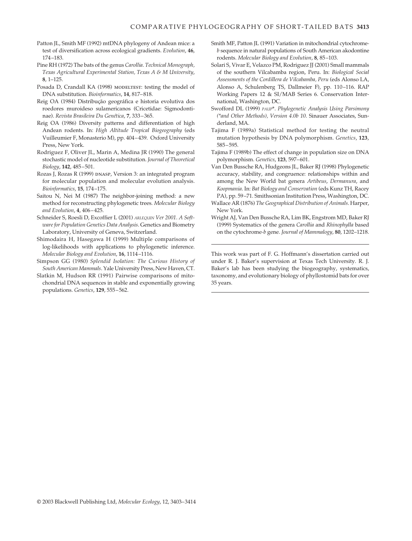- Patton JL, Smith MF (1992) mtDNA phylogeny of Andean mice: a test of diversification across ecological gradients. *Evolution*, **46**, 174–183.
- Pine RH (1972) The bats of the genus *Carollia*. *Technical Monograph, Texas Agricultural Experimental Station, Texas A & M University*, **8**, 1–125.
- Posada D, Crandall KA (1998) MODELTEST: testing the model of DNA substitution. *Bioinformatics*, **14**, 817–818.
- Reig OA (1984) Distribução geográfica e historia evolutiva dos roedores muroideso sulamericanos (Cricetidae: Sigmodontinae). *Revista Brasileira Du Genética*, **7**, 333–365.
- Reig OA (1986) Diversity patterns and differentiation of high Andean rodents. In: *High Altitude Tropical Biogeography* (eds Vuilleumier F, Monasterio M), pp. 404–439. Oxford University Press, New York.
- Rodriguez F, Oliver JL, Marin A, Medina JR (1990) The general stochastic model of nucleotide substitution. *Journal of Theoretical Biology*, **142**, 485–501.
- Rozas J, Rozas R (1999) DNASP, Version 3: an integrated program for molecular population and molecular evolution analysis. *Bioinformatics*, **15**, 174–175.
- Saitou N, Nei M (1987) The neighbor-joining method: a new method for reconstructing phylogenetic trees. *Molecular Biology and Evolution*, **4**, 406–425.
- Schneider S, Roesli D, Excoffier L (2001) *ARLEQUIN Ver 2001*. *A Software for Population Genetics Data Analysis*. Genetics and Biometry Laboratory, University of Geneva, Switzerland.
- Shimodaira H, Hasegawa H (1999) Multiple comparisons of log-likelihoods with applications to phylogenetic inference. *Molecular Biology and Evolution*, **16**, 1114–1116.
- Simpson GG (1980) *Splendid Isolation: The Curious History of South American Mammals*. Yale University Press, New Haven, CT.
- Slatkin M, Hudson RR (1991) Pairwise comparisons of mitochondrial DNA sequences in stable and exponentially growing populations. *Genetics*, **129**, 555–562.
- Smith MF, Patton JL (1991) Variation in mitochondrial cytochrome*b* sequence in natural populations of South American akodontine rodents. *Molecular Biology and Evolution*, **8**, 85–103.
- Solari S, Vivar E, Velazco PM, Rodriguez JJ (2001) Small mammals of the southern Vilcabamba region, Peru. In: *Biological Social Assessments of the Cordillera de Vilcabamba, Peru* (eds Alonso LA, Alonso A, Schulenberg TS, Dallmeier F), pp. 110–116. RAP Working Papers 12 & SI/MAB Series 6. Conservation International, Washington, DC.
- Swofford DL (1999) *PAUP*\*. *Phylogenetic Analysis Using Parsimony (\*and Other Methods), Version 4.0b 10*. Sinauer Associates, Sunderland, MA.
- Tajima F (1989a) Statistical method for testing the neutral mutation hypothesis by DNA polymorphism. *Genetics*, **123**, 585–595.
- Tajima F (1989b) The effect of change in population size on DNA polymorphism. *Genetics*, **123**, 597–601.
- Van Den Bussche RA, Hudgeons JL, Baker RJ (1998) Phylogenetic accuracy, stability, and congruence: relationships within and among the New World bat genera *Artibeus*, *Dermanura*, and *Koopmania*. In: *Bat Biology and Conservation* (eds Kunz TH, Racey PA), pp. 59–71. Smithsonian Institution Press, Washington, DC.
- Wallace AR (1876) *The Geographical Distribution of Animals*. Harper, New York.
- Wright AJ, Van Den Bussche RA, Lim BK, Engstrom MD, Baker RJ (1999) Systematics of the genera *Carollia* and *Rhinophylla* based on the cytochrome*-b* gene. *Journal of Mammalogy*, **80**, 1202–1218.

This work was part of F. G. Hoffmann's dissertation carried out under R. J. Baker's supervision at Texas Tech University. R. J. Baker's lab has been studying the biogeography, systematics, taxonomy, and evolutionary biology of phyllostomid bats for over 35 years.